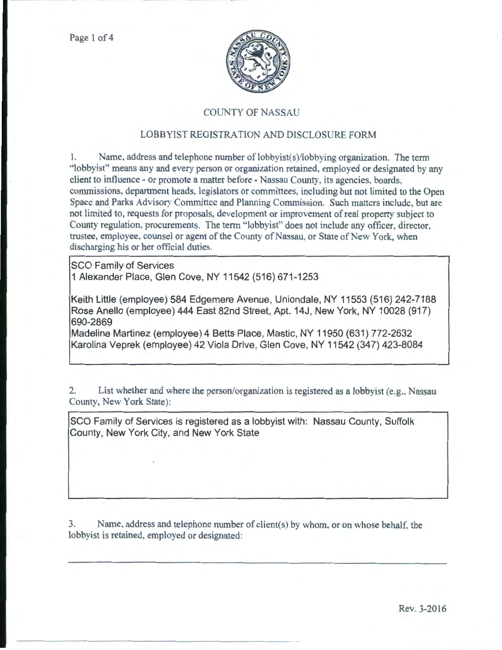

## COUNTY OF NASSAU

## LOBBYIST REGISTRATION AND DISCLOSURE FORM

1. Name, address and telephone number of lobbyist(s)/lobbying organization. The term "lobbyist" means any and every person or organization retained, employed or designated by any client to influence- or promote a matter before- Nassau County, its agencies, boards, commissions, department heads, legislators or committees, including but not limited to the Open Space and Parks Advisory Committee and Planning Commission. Such matters include, but are not limited to, requests for proposals, development or improvement of real property subject to County regulation, procurements. The term "lobbyist" does not include any officer, director, trustee, employee, counsel or agent of the County of Nassau, or State of New York, when discharging his or her official duties.

SCO Family of Services 1 Alexander Place, Glen Cove, NY 11542 (516) 671-1253

Keith Little (employee) 584 Edgemere Avenue, Uniondale, NY 11553 (516) 242-7188 Rose Anello (employee) 444 East 82nd Street, Apt. 14J, New York, NY 10028 (917) 690-2869

Madeline Martinez (employee) 4 Betts Place, Mastic, NY 11950 (631) 772-2632 Karolina Veprek (employee) 42 Viola Drive, Glen Cove, NY 11542 (347) 423-8084

2. List whether and where the person/organization is registered as a lobbyist (e.g., Nassau County, New York State):

SCO Family of Services is registered as a lobbyist with: Nassau County, Suffolk County, New York City, and New York State

3. Name, address and telephone number of client(s) by whom, or on whose behalf, the lobbyist is retained, employed or designated: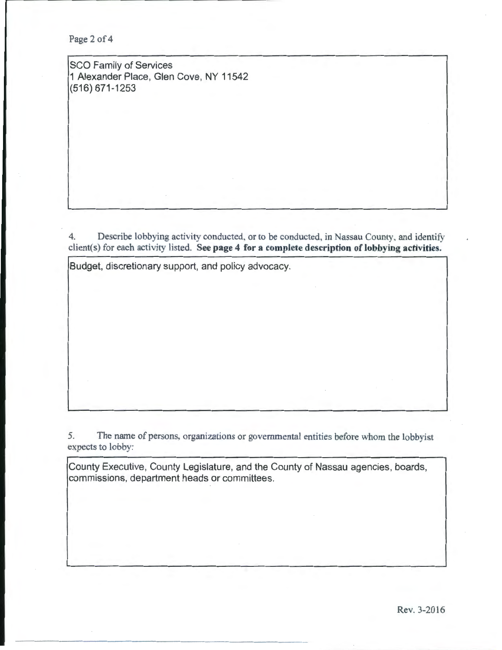Page 2 of 4

SCO Family of Services 1 Alexander Place, Glen Cove, NY 11542 (516) 671-1253

4. Describe lobbying activity conducted, or to be conducted, in Nassau County, and identify client(s) for each activity listed. See page 4 for a complete description of lobbying activities.

Budget, discretionary support, and policy advocacy.

5. The name of persons, organizations or governmental entities before whom the lobbyist expects to lobby:

County Executive, County Legislature, and the County of Nassau agencies, boards, commissions, department heads or committees.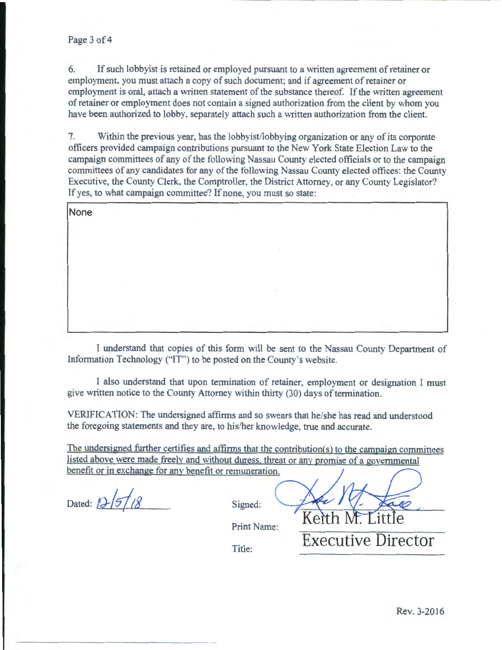6. If such lobbyist is retained or employed pursuant to a written agreement of retainer or employment. you must attach a copy of such document; and if agreement of retainer or employment is oral, attach a written statement of the substance thereof. If the written agreement of retainer or employment does not contain a signed authorization from the client by whom you have been authorized to lobby. separately attach such a written authorization from the client.

7. Within the previous year, has the lobbyist/lobbying organization or any of its corporate officers provided campaign contributions pursuant to the New York State Election Law to the campaign committees of any of the following Nassau County elected officials or to the campaign committees of any candidates for any of the following Nassau County elected oftices: the County Executive, the County Clerk, the Comptroller, the District Attorney, or any County Legislator? If yes, to what campaign committee? If none, you must so state:

**None** 

I understand that copies of this form will be sent to the Nassau County Department of Information Technology ("IT") to be posted on the County's website.

I also understand that upon termination of retainer, employment or designation l must give written notice to the County Attorney within thirty (30) days of termination.

VERIFICATION: The undersigned affirms and so swears that he/she has read and understood the foregoing statements and they are, to his/her knowledge, true and accurate.

The undersigned further certifies and affirms that the contribution(s) to the campaign committees listed above were made freely and without duress. threat or any promise of a governmental benefit or in exchange for any benefit or remuneration.

Dated: *D-* 5 / 8 Signed:

Print Name:

Keit

Title: **Executive Director**